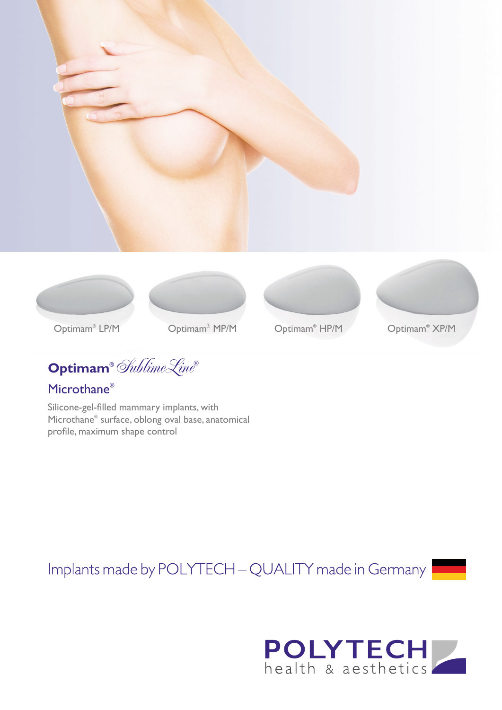









Optimam<sup>®</sup> XP/M

Optimam<sup>®</sup> LP/M

Optimam<sup>®</sup> MP/M MP/M Optimam® Optimam XP/M ®

**Optimam®** SublimeLine**®**

# Microthane®

Silicone-gel-filled mammary implants, with Microthane® surface, oblong oval base, anatomical profile, maximum shape control

Implants made by POLYTECH - QUALITY made in Germany